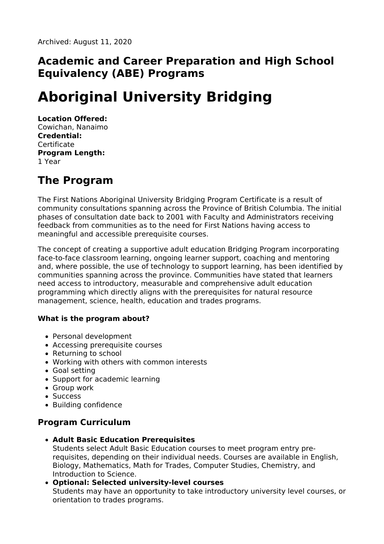### **Academic and Career Preparation and High School Equivalency (ABE) Programs**

# **Aboriginal University Bridging**

#### **Location Offered:**

Cowichan, Nanaimo **Credential: Certificate Program Length:** 1 Year

# **The Program**

The First Nations Aboriginal University Bridging Program Certificate is a result of community consultations spanning across the Province of British Columbia. The initial phases of consultation date back to 2001 with Faculty and Administrators receiving feedback from communities as to the need for First Nations having access to meaningful and accessible prerequisite courses.

The concept of creating a supportive adult education Bridging Program incorporating face-to-face classroom learning, ongoing learner support, coaching and mentoring and, where possible, the use of technology to support learning, has been identified by communities spanning across the province. Communities have stated that learners need access to introductory, measurable and comprehensive adult education programming which directly aligns with the prerequisites for natural resource management, science, health, education and trades programs.

#### **What is the program about?**

- Personal development
- Accessing prerequisite courses
- Returning to school
- Working with others with common interests
- Goal setting
- Support for academic learning
- Group work
- Success
- Building confidence

### **Program Curriculum**

- **Adult Basic Education Prerequisites** Students select Adult Basic Education courses to meet program entry prerequisites, depending on their individual needs. Courses are available in English, Biology, Mathematics, Math for Trades, Computer Studies, Chemistry, and Introduction to Science.
- **Optional: Selected university-level courses** Students may have an opportunity to take introductory university level courses, or orientation to trades programs.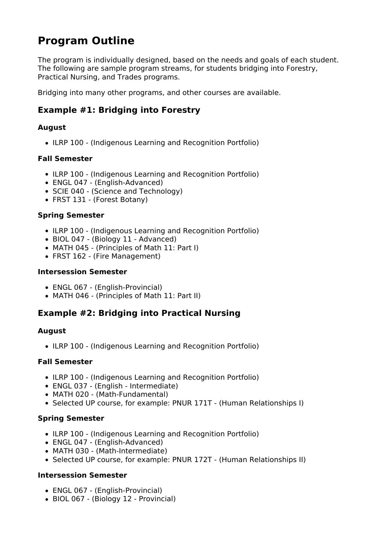# **Program Outline**

The program is individually designed, based on the needs and goals of each student. The following are sample program streams, for students bridging into Forestry, Practical Nursing, and Trades programs.

Bridging into many other programs, and other courses are available.

### **Example #1: Bridging into Forestry**

#### **August**

• ILRP 100 - (Indigenous Learning and Recognition Portfolio)

#### **Fall Semester**

- ILRP 100 (Indigenous Learning and Recognition Portfolio)
- ENGL 047 (English-Advanced)
- SCIE 040 (Science and Technology)
- FRST 131 (Forest Botany)

#### **Spring Semester**

- ILRP 100 (Indigenous Learning and Recognition Portfolio)
- BIOL 047 (Biology 11 Advanced)
- MATH 045 (Principles of Math 11: Part I)
- FRST 162 (Fire Management)

#### **Intersession Semester**

- ENGL 067 (English-Provincial)
- MATH 046 (Principles of Math 11: Part II)

### **Example #2: Bridging into Practical Nursing**

#### **August**

• ILRP 100 - (Indigenous Learning and Recognition Portfolio)

#### **Fall Semester**

- ILRP 100 (Indigenous Learning and Recognition Portfolio)
- ENGL 037 (English Intermediate)
- MATH 020 (Math-Fundamental)
- Selected UP course, for example: PNUR 171T (Human Relationships I)

#### **Spring Semester**

- ILRP 100 (Indigenous Learning and Recognition Portfolio)
- ENGL 047 (English-Advanced)
- MATH 030 (Math-Intermediate)
- Selected UP course, for example: PNUR 172T (Human Relationships II)

#### **Intersession Semester**

- ENGL 067 (English-Provincial)
- BIOL 067 (Biology 12 Provincial)